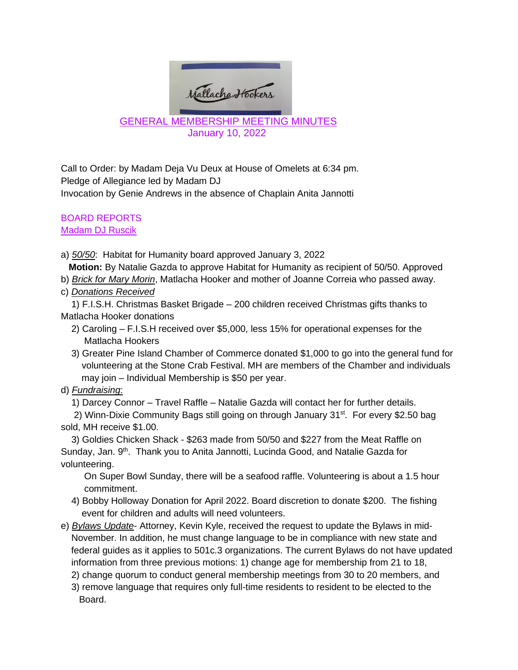

January 10, 2022

Call to Order: by Madam Deja Vu Deux at House of Omelets at 6:34 pm. Pledge of Allegiance led by Madam DJ Invocation by Genie Andrews in the absence of Chaplain Anita Jannotti

#### BOARD REPORTS Madam DJ Ruscik

- a) *50/50*: Habitat for Humanity board approved January 3, 2022 **Motion:** By Natalie Gazda to approve Habitat for Humanity as recipient of 50/50. Approved
- b) *Brick for Mary Morin*, Matlacha Hooker and mother of Joanne Correia who passed away.
- c) *Donations Received*
- 1) F.I.S.H. Christmas Basket Brigade 200 children received Christmas gifts thanks to Matlacha Hooker donations
	- 2) Caroling F.I.S.H received over \$5,000, less 15% for operational expenses for the Matlacha Hookers
	- 3) Greater Pine Island Chamber of Commerce donated \$1,000 to go into the general fund for volunteering at the Stone Crab Festival. MH are members of the Chamber and individuals may join – Individual Membership is \$50 per year.
- d) *Fundraising*:
	- 1) Darcey Connor Travel Raffle Natalie Gazda will contact her for further details.
- 2) Winn-Dixie Community Bags still going on through January  $31^{st}$ . For every \$2.50 bag sold, MH receive \$1.00.
- 3) Goldies Chicken Shack \$263 made from 50/50 and \$227 from the Meat Raffle on Sunday, Jan. 9<sup>th</sup>. Thank you to Anita Jannotti, Lucinda Good, and Natalie Gazda for volunteering.
	- On Super Bowl Sunday, there will be a seafood raffle. Volunteering is about a 1.5 hour commitment.
	- 4) Bobby Holloway Donation for April 2022. Board discretion to donate \$200. The fishing event for children and adults will need volunteers.
- e) *Bylaws Update* Attorney, Kevin Kyle, received the request to update the Bylaws in mid- November. In addition, he must change language to be in compliance with new state and federal guides as it applies to 501c.3 organizations. The current Bylaws do not have updated information from three previous motions: 1) change age for membership from 21 to 18,
	- 2) change quorum to conduct general membership meetings from 30 to 20 members, and
	- 3) remove language that requires only full-time residents to resident to be elected to the Board.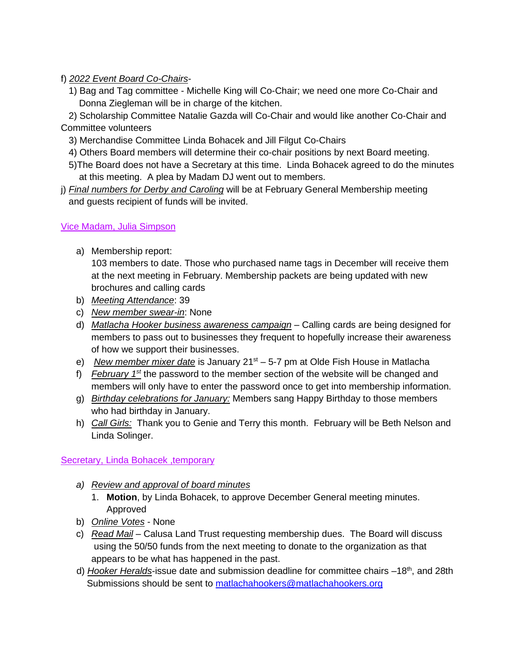f) *2022 Event Board Co-Chairs*-

 1) Bag and Tag committee - Michelle King will Co-Chair; we need one more Co-Chair and Donna Ziegleman will be in charge of the kitchen.

 2) Scholarship Committee Natalie Gazda will Co-Chair and would like another Co-Chair and Committee volunteers

- 3) Merchandise Committee Linda Bohacek and Jill Filgut Co-Chairs
- 4) Others Board members will determine their co-chair positions by next Board meeting.
- 5)The Board does not have a Secretary at this time. Linda Bohacek agreed to do the minutes at this meeting. A plea by Madam DJ went out to members.
- j) *Final numbers for Derby and Caroling* will be at February General Membership meeting and guests recipient of funds will be invited.

Vice Madam, Julia Simpson

a) Membership report:

103 members to date. Those who purchased name tags in December will receive them at the next meeting in February. Membership packets are being updated with new brochures and calling cards

- b) *Meeting Attendance*: 39
- c) *New member swear-in*: None
- d) *Matlacha Hooker business awareness campaign* Calling cards are being designed for members to pass out to businesses they frequent to hopefully increase their awareness of how we support their businesses.
- e) *New member mixer date* is January 21st 5-7 pm at Olde Fish House in Matlacha
- f) *February 1st* the password to the member section of the website will be changed and members will only have to enter the password once to get into membership information.
- g) *Birthday celebrations for January:* Members sang Happy Birthday to those members who had birthday in January.
- h) *Call Girls:* Thank you to Genie and Terry this month. February will be Beth Nelson and Linda Solinger.

# Secretary, Linda Bohacek ,temporary

- *a) Review and approval of board minutes*
	- 1. **Motion**, by Linda Bohacek, to approve December General meeting minutes. Approved
- b) *Online Votes* None
- c) *Read Mail* Calusa Land Trust requesting membership dues. The Board will discuss using the 50/50 funds from the next meeting to donate to the organization as that appears to be what has happened in the past.
- d) *Hooker Heralds*-issue date and submission deadline for committee chairs –18th, and 28th Submissions should be sent to [matlachahookers@matlachahookers.org](mailto:matlachahookers@matlachahookers.org)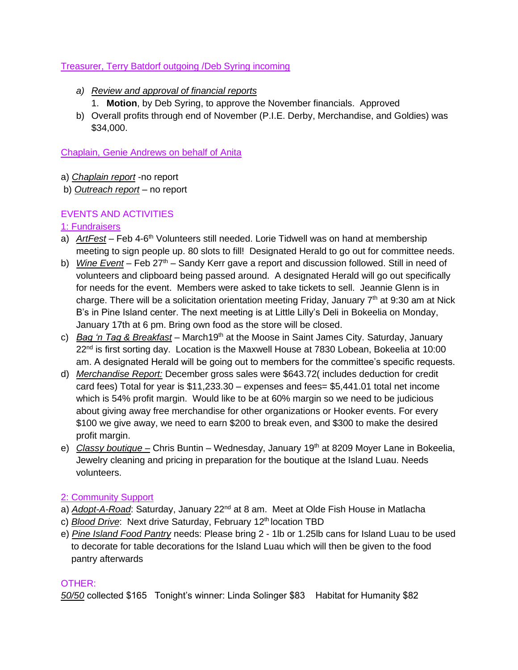### Treasurer, Terry Batdorf outgoing /Deb Syring incoming

- *a) Review and approval of financial reports*
	- 1. **Motion**, by Deb Syring, to approve the November financials. Approved
- b) Overall profits through end of November (P.I.E. Derby, Merchandise, and Goldies) was \$34,000.

Chaplain, Genie Andrews on behalf of Anita

- a) *Chaplain report* -no report
- b) *Outreach report* no report

## EVENTS AND ACTIVITIES

## 1: Fundraisers

- a) ArtFest Feb 4-6<sup>th</sup> Volunteers still needed. Lorie Tidwell was on hand at membership meeting to sign people up. 80 slots to fill! Designated Herald to go out for committee needs.
- b) *Wine Event* Feb 27th Sandy Kerr gave a report and discussion followed. Still in need of volunteers and clipboard being passed around. A designated Herald will go out specifically for needs for the event. Members were asked to take tickets to sell. Jeannie Glenn is in charge. There will be a solicitation orientation meeting Friday, January  $7<sup>th</sup>$  at 9:30 am at Nick B's in Pine Island center. The next meeting is at Little Lilly's Deli in Bokeelia on Monday, January 17th at 6 pm. Bring own food as the store will be closed.
- c) *Bag 'n Tag & Breakfast* March19th at the Moose in Saint James City. Saturday, January 22<sup>nd</sup> is first sorting day. Location is the Maxwell House at 7830 Lobean, Bokeelia at 10:00 am. A designated Herald will be going out to members for the committee's specific requests.
- d) *Merchandise Report:* December gross sales were \$643.72( includes deduction for credit card fees) Total for year is \$11,233.30 – expenses and fees= \$5,441.01 total net income which is 54% profit margin. Would like to be at 60% margin so we need to be judicious about giving away free merchandise for other organizations or Hooker events. For every \$100 we give away, we need to earn \$200 to break even, and \$300 to make the desired profit margin.
- e) *Classy boutique* Chris Buntin Wednesday, January 19<sup>th</sup> at 8209 Moyer Lane in Bokeelia, Jewelry cleaning and pricing in preparation for the boutique at the Island Luau. Needs volunteers.

#### 2: Community Support

- a) *Adopt-A-Road*: Saturday, January 22<sup>nd</sup> at 8 am. Meet at Olde Fish House in Matlacha
- c) **Blood Drive:** Next drive Saturday, February 12<sup>th</sup> location TBD
- e) *Pine Island Food Pantry* needs: Please bring 2 1lb or 1.25lb cans for Island Luau to be used to decorate for table decorations for the Island Luau which will then be given to the food pantry afterwards

#### OTHER:

*50/50* collected \$165 Tonight's winner: Linda Solinger \$83 Habitat for Humanity \$82